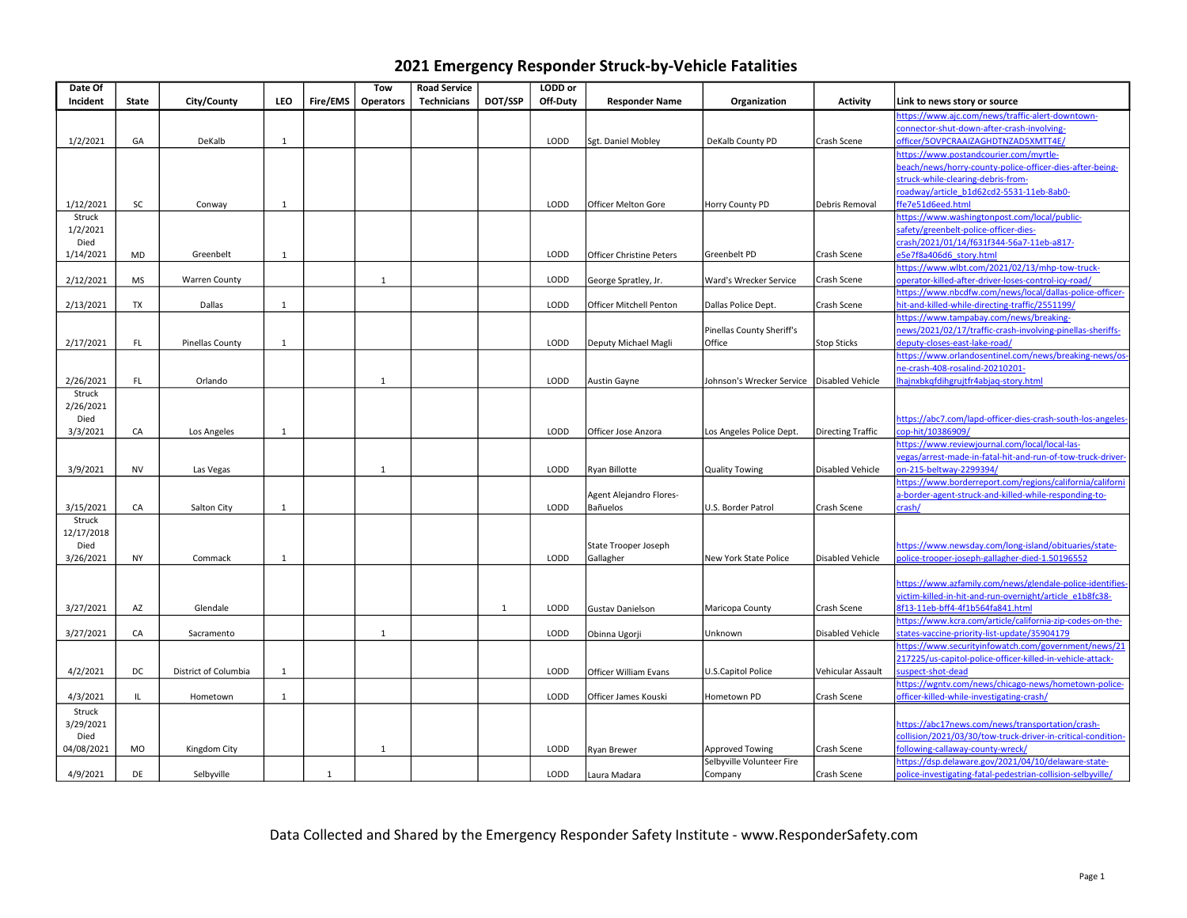| Date Of    |           |                      |              |          | Tow              | <b>Road Service</b> |              | LODD or     |                                 |                           |                          |                                                                                                                       |
|------------|-----------|----------------------|--------------|----------|------------------|---------------------|--------------|-------------|---------------------------------|---------------------------|--------------------------|-----------------------------------------------------------------------------------------------------------------------|
| Incident   | State     | City/County          | <b>LEO</b>   | Fire/EMS | <b>Operators</b> | <b>Technicians</b>  | DOT/SSP      | Off-Duty    | <b>Responder Name</b>           | Organization              | <b>Activity</b>          | Link to news story or source                                                                                          |
|            |           |                      |              |          |                  |                     |              |             |                                 |                           |                          | https://www.ajc.com/news/traffic-alert-downtown-                                                                      |
|            |           |                      |              |          |                  |                     |              |             |                                 |                           |                          | connector-shut-down-after-crash-involving-                                                                            |
| 1/2/2021   | GA        | DeKalb               | $\mathbf{1}$ |          |                  |                     |              | LODD        | Sgt. Daniel Mobley              | DeKalb County PD          | Crash Scene              | officer/5OVPCRAAIZAGHDTNZAD5XMTT4E/                                                                                   |
|            |           |                      |              |          |                  |                     |              |             |                                 |                           |                          | https://www.postandcourier.com/myrtle-                                                                                |
|            |           |                      |              |          |                  |                     |              |             |                                 |                           |                          | beach/news/horry-county-police-officer-dies-after-being-                                                              |
|            |           |                      |              |          |                  |                     |              |             |                                 |                           |                          | struck-while-clearing-debris-from-                                                                                    |
|            |           |                      |              |          |                  |                     |              |             |                                 |                           |                          | roadway/article b1d62cd2-5531-11eb-8ab0-                                                                              |
| 1/12/2021  | SC        | Conway               | 1            |          |                  |                     |              | LODD        | Officer Melton Gore             | Horry County PD           | Debris Removal           | ffe7e51d6eed.html                                                                                                     |
| Struck     |           |                      |              |          |                  |                     |              |             |                                 |                           |                          | https://www.washingtonpost.com/local/public-                                                                          |
| 1/2/2021   |           |                      |              |          |                  |                     |              |             |                                 |                           |                          | safety/greenbelt-police-officer-dies-                                                                                 |
| Died       |           |                      |              |          |                  |                     |              |             |                                 |                           |                          | crash/2021/01/14/f631f344-56a7-11eb-a817-                                                                             |
| 1/14/2021  | <b>MD</b> | Greenbelt            | 1            |          |                  |                     |              | <b>LODD</b> | <b>Officer Christine Peters</b> | Greenbelt PD              | Crash Scene              | e5e7f8a406d6 story.html                                                                                               |
|            |           |                      |              |          |                  |                     |              |             |                                 |                           |                          | https://www.wlbt.com/2021/02/13/mhp-tow-truck-                                                                        |
| 2/12/2021  | <b>MS</b> | <b>Warren County</b> |              |          | 1                |                     |              | LODD        | George Spratley, Jr.            | Ward's Wrecker Service    | Crash Scene              | operator-killed-after-driver-loses-control-icy-road/                                                                  |
|            |           |                      |              |          |                  |                     |              |             |                                 |                           |                          | https://www.nbcdfw.com/news/local/dallas-police-officer-                                                              |
| 2/13/2021  | TX        | Dallas               | $\mathbf{1}$ |          |                  |                     |              | LODD        | Officer Mitchell Penton         | Dallas Police Dept.       | Crash Scene              | hit-and-killed-while-directing-traffic/2551199/                                                                       |
|            |           |                      |              |          |                  |                     |              |             |                                 |                           |                          | https://www.tampabay.com/news/breaking-                                                                               |
|            |           |                      |              |          |                  |                     |              |             |                                 | Pinellas County Sheriff's |                          | news/2021/02/17/traffic-crash-involving-pinellas-sheriffs-                                                            |
| 2/17/2021  | FL        | Pinellas County      | 1            |          |                  |                     |              | LODD        | Deputy Michael Magli            | Office                    | <b>Stop Sticks</b>       | deputy-closes-east-lake-road/                                                                                         |
|            |           |                      |              |          |                  |                     |              |             |                                 |                           |                          | https://www.orlandosentinel.com/news/breaking-news/os-                                                                |
|            |           |                      |              |          |                  |                     |              |             |                                 |                           |                          | ne-crash-408-rosalind-20210201-                                                                                       |
| 2/26/2021  | FL        | Orlando              |              |          | $\mathbf{1}$     |                     |              | LODD        | Austin Gayne                    | Johnson's Wrecker Service | <b>Disabled Vehicle</b>  | hajnxbkgfdihgrujtfr4abjag-story.html                                                                                  |
| Struck     |           |                      |              |          |                  |                     |              |             |                                 |                           |                          |                                                                                                                       |
| 2/26/2021  |           |                      |              |          |                  |                     |              |             |                                 |                           |                          |                                                                                                                       |
| Died       |           |                      |              |          |                  |                     |              |             |                                 |                           |                          | https://abc7.com/lapd-officer-dies-crash-south-los-angeles-                                                           |
| 3/3/2021   | CA        | Los Angeles          | 1            |          |                  |                     |              | LODD        | Officer Jose Anzora             | Los Angeles Police Dept.  | <b>Directing Traffic</b> | cop-hit/10386909/                                                                                                     |
|            |           |                      |              |          |                  |                     |              |             |                                 |                           |                          | https://www.reviewjournal.com/local/local-las-                                                                        |
|            |           |                      |              |          |                  |                     |              |             |                                 |                           |                          | regas/arrest-made-in-fatal-hit-and-run-of-tow-truck-driver-                                                           |
| 3/9/2021   | <b>NV</b> | Las Vegas            |              |          | 1                |                     |              | LODD        | Ryan Billotte                   | <b>Quality Towing</b>     | Disabled Vehicle         | on-215-beltway-2299394/                                                                                               |
|            |           |                      |              |          |                  |                     |              |             |                                 |                           |                          | https://www.borderreport.com/regions/california/californi                                                             |
|            |           |                      |              |          |                  |                     |              |             | Agent Alejandro Flores-         |                           |                          | a-border-agent-struck-and-killed-while-responding-to-                                                                 |
| 3/15/2021  | CA        | Salton City          | 1            |          |                  |                     |              | LODD        | Bañuelos                        | U.S. Border Patrol        | Crash Scene              | crash/                                                                                                                |
| Struck     |           |                      |              |          |                  |                     |              |             |                                 |                           |                          |                                                                                                                       |
| 12/17/2018 |           |                      |              |          |                  |                     |              |             |                                 |                           |                          |                                                                                                                       |
| Died       |           |                      |              |          |                  |                     |              |             | State Trooper Joseph            |                           |                          | https://www.newsday.com/long-island/obituaries/state-                                                                 |
| 3/26/2021  | NY        | Commack              | $\mathbf{1}$ |          |                  |                     |              | LODD        | Gallagher                       | New York State Police     | <b>Disabled Vehicle</b>  | oolice-trooper-joseph-gallagher-died-1.50196552                                                                       |
|            |           |                      |              |          |                  |                     |              |             |                                 |                           |                          |                                                                                                                       |
|            |           |                      |              |          |                  |                     |              |             |                                 |                           |                          |                                                                                                                       |
|            |           |                      |              |          |                  |                     |              |             |                                 |                           |                          | https://www.azfamily.com/news/glendale-police-identifies-<br>victim-killed-in-hit-and-run-overnight/article e1b8fc38- |
|            |           |                      |              |          |                  |                     | $\mathbf{1}$ | LODD        |                                 |                           |                          |                                                                                                                       |
| 3/27/2021  | AZ        | Glendale             |              |          |                  |                     |              |             | <b>Gustav Danielson</b>         | Maricopa County           | Crash Scene              | 8f13-11eb-bff4-4f1b564fa841.html                                                                                      |
|            | CA        |                      |              |          | $\mathbf{1}$     |                     |              | LODD        |                                 | Unknown                   |                          | https://www.kcra.com/article/california-zip-codes-on-the-                                                             |
| 3/27/2021  |           | Sacramento           |              |          |                  |                     |              |             | Obinna Ugorji                   |                           | Disabled Vehicle         | states-vaccine-priority-list-update/35904179                                                                          |
|            |           |                      |              |          |                  |                     |              |             |                                 |                           |                          | https://www.securityinfowatch.com/government/news/21                                                                  |
|            |           |                      |              |          |                  |                     |              |             |                                 |                           |                          | 217225/us-capitol-police-officer-killed-in-vehicle-attack-                                                            |
| 4/2/2021   | DC        | District of Columbia | 1            |          |                  |                     |              | LODD        | Officer William Evans           | U.S.Capitol Police        | Vehicular Assault        | suspect-shot-dead                                                                                                     |
|            |           |                      |              |          |                  |                     |              |             |                                 |                           |                          | https://wgntv.com/news/chicago-news/hometown-police-                                                                  |
| 4/3/2021   | IL        | Hometown             | $\mathbf{1}$ |          |                  |                     |              | LODD        | Officer James Kouski            | Hometown PD               | Crash Scene              | officer-killed-while-investigating-crash/                                                                             |
| Struck     |           |                      |              |          |                  |                     |              |             |                                 |                           |                          |                                                                                                                       |
| 3/29/2021  |           |                      |              |          |                  |                     |              |             |                                 |                           |                          | https://abc17news.com/news/transportation/crash-                                                                      |
| Died       |           |                      |              |          |                  |                     |              |             |                                 |                           |                          | collision/2021/03/30/tow-truck-driver-in-critical-condition-                                                          |
| 04/08/2021 | <b>MO</b> | Kingdom City         |              |          | $\mathbf{1}$     |                     |              | LODD        | <b>Ryan Brewer</b>              | Approved Towing           | Crash Scene              | following-callaway-county-wreck/                                                                                      |
|            |           |                      |              |          |                  |                     |              |             |                                 | Selbyville Volunteer Fire |                          | https://dsp.delaware.gov/2021/04/10/delaware-state-                                                                   |
| 4/9/2021   | DE        | Selbyville           |              | 1        |                  |                     |              | LODD        | Laura Madara                    | Company                   | Crash Scene              | police-investigating-fatal-pedestrian-collision-selbyville/                                                           |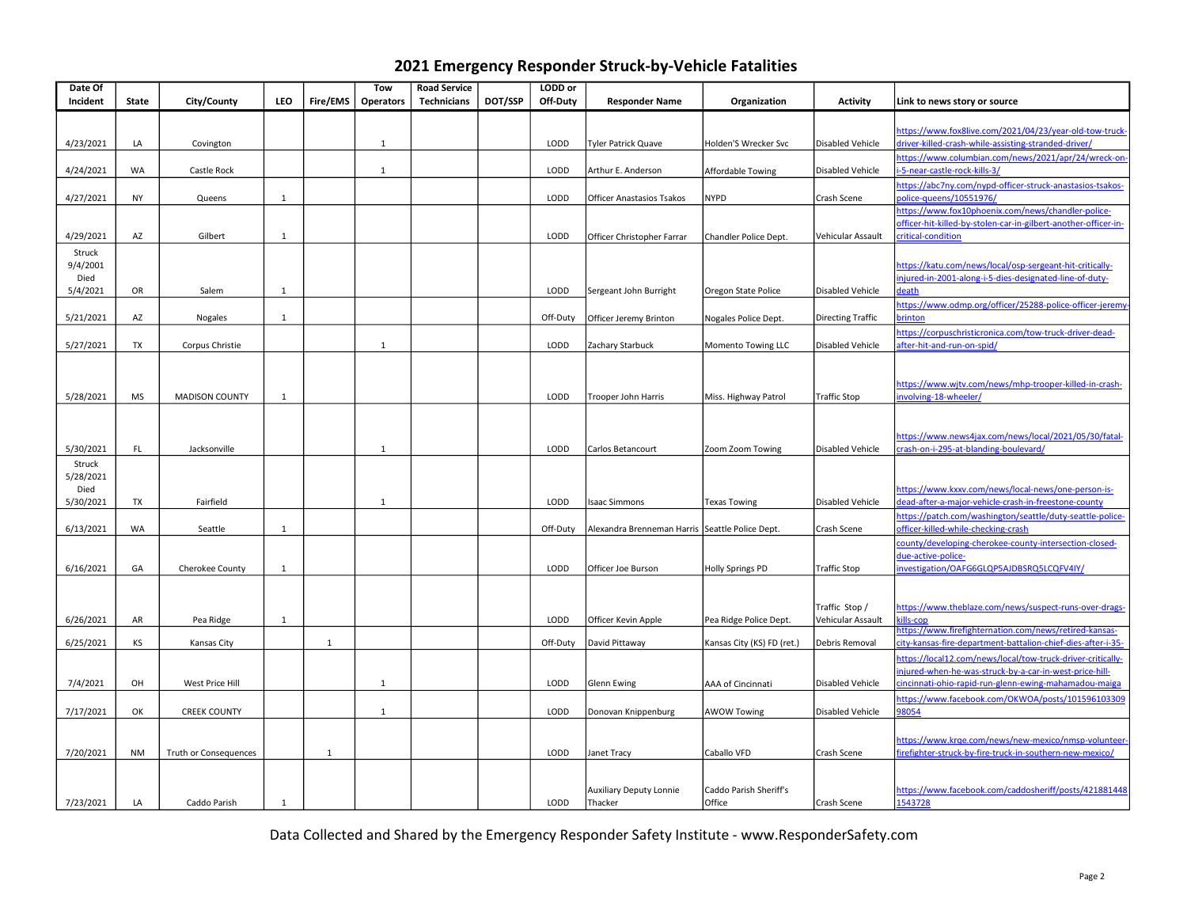| Date Of   |           |                       |              |              | <b>Tow</b>       | <b>Road Service</b> |         | LODD or  |                                                |                            |                          |                                                                                                                   |
|-----------|-----------|-----------------------|--------------|--------------|------------------|---------------------|---------|----------|------------------------------------------------|----------------------------|--------------------------|-------------------------------------------------------------------------------------------------------------------|
| Incident  | State     | City/County           | <b>LEO</b>   | Fire/EMS     | <b>Operators</b> | <b>Technicians</b>  | DOT/SSP | Off-Duty | <b>Responder Name</b>                          | Organization               | <b>Activity</b>          | Link to news story or source                                                                                      |
|           |           |                       |              |              |                  |                     |         |          |                                                |                            |                          | https://www.fox8live.com/2021/04/23/year-old-tow-truck-                                                           |
| 4/23/2021 | LA        | Covington             |              |              | 1                |                     |         | LODD     | <b>Tyler Patrick Quave</b>                     | Holden'S Wrecker Svc       | Disabled Vehicle         | driver-killed-crash-while-assisting-stranded-driver/                                                              |
|           |           |                       |              |              |                  |                     |         |          |                                                |                            |                          | https://www.columbian.com/news/2021/apr/24/wreck-on-                                                              |
| 4/24/2021 | WA        | Castle Rock           |              |              | $\mathbf{1}$     |                     |         | LODD     | Arthur E. Anderson                             | Affordable Towing          | <b>Disabled Vehicle</b>  | -5-near-castle-rock-kills-3/                                                                                      |
|           |           |                       |              |              |                  |                     |         |          |                                                |                            |                          | https://abc7ny.com/nypd-officer-struck-anastasios-tsakos-                                                         |
| 4/27/2021 | <b>NY</b> | Queens                | 1            |              |                  |                     |         | LODD     | <b>Officer Anastasios Tsakos</b>               | NYPD                       | Crash Scene              | oolice-queens/10551976/<br>https://www.fox10phoenix.com/news/chandler-police-                                     |
|           |           |                       |              |              |                  |                     |         |          |                                                |                            |                          | officer-hit-killed-by-stolen-car-in-gilbert-another-officer-in-                                                   |
| 4/29/2021 | AZ        | Gilbert               | 1            |              |                  |                     |         | LODD     | Officer Christopher Farrar                     | Chandler Police Dept.      | Vehicular Assault        | critical-condition                                                                                                |
| Struck    |           |                       |              |              |                  |                     |         |          |                                                |                            |                          |                                                                                                                   |
| 9/4/2001  |           |                       |              |              |                  |                     |         |          |                                                |                            |                          | https://katu.com/news/local/osp-sergeant-hit-critically-                                                          |
| Died      |           |                       |              |              |                  |                     |         |          |                                                |                            |                          | njured-in-2001-along-i-5-dies-designated-line-of-duty-                                                            |
| 5/4/2021  | OR        | Salem                 | 1            |              |                  |                     |         | LODD     | Sergeant John Burright                         | Oregon State Police        | Disabled Vehicle         | <b>death</b>                                                                                                      |
| 5/21/2021 | AZ        |                       | $\mathbf{1}$ |              |                  |                     |         | Off-Duty |                                                |                            | <b>Directing Traffic</b> | https://www.odmp.org/officer/25288-police-officer-jeremy-<br><b>printon</b>                                       |
|           |           | Nogales               |              |              |                  |                     |         |          | Officer Jeremy Brinton                         | Nogales Police Dept.       |                          | https://corpuschristicronica.com/tow-truck-driver-dead-                                                           |
| 5/27/2021 | <b>TX</b> | Corpus Christie       |              |              | $\mathbf{1}$     |                     |         | LODD     | Zachary Starbuck                               | Momento Towing LLC         | <b>Disabled Vehicle</b>  | after-hit-and-run-on-spid/                                                                                        |
|           |           |                       |              |              |                  |                     |         |          |                                                |                            |                          |                                                                                                                   |
|           |           |                       |              |              |                  |                     |         |          |                                                |                            |                          |                                                                                                                   |
|           |           |                       |              |              |                  |                     |         |          |                                                |                            |                          | https://www.wjtv.com/news/mhp-trooper-killed-in-crash-                                                            |
| 5/28/2021 | <b>MS</b> | <b>MADISON COUNTY</b> | $\mathbf{1}$ |              |                  |                     |         | LODD     | <b>Trooper John Harris</b>                     | Miss. Highway Patrol       | Traffic Stop             | nvolving-18-wheeler/                                                                                              |
|           |           |                       |              |              |                  |                     |         |          |                                                |                            |                          |                                                                                                                   |
|           |           |                       |              |              |                  |                     |         |          |                                                |                            |                          | https://www.news4jax.com/news/local/2021/05/30/fatal-                                                             |
| 5/30/2021 | FL.       | Jacksonville          |              |              | 1                |                     |         | LODD     | Carlos Betancourt                              | Zoom Zoom Towing           | Disabled Vehicle         | crash-on-i-295-at-blanding-boulevard/                                                                             |
| Struck    |           |                       |              |              |                  |                     |         |          |                                                |                            |                          |                                                                                                                   |
| 5/28/2021 |           |                       |              |              |                  |                     |         |          |                                                |                            |                          |                                                                                                                   |
| Died      |           |                       |              |              |                  |                     |         |          |                                                |                            |                          | https://www.kxxv.com/news/local-news/one-person-is-                                                               |
| 5/30/2021 | <b>TX</b> | Fairfield             |              |              | 1                |                     |         | LODD     | <b>Isaac Simmons</b>                           | <b>Texas Towing</b>        | Disabled Vehicle         | dead-after-a-major-vehicle-crash-in-freestone-county<br>https://patch.com/washington/seattle/duty-seattle-police- |
| 6/13/2021 | WA        | Seattle               | 1            |              |                  |                     |         | Off-Duty | Alexandra Brenneman Harris Seattle Police Dept |                            | Crash Scene              | officer-killed-while-checking-crash                                                                               |
|           |           |                       |              |              |                  |                     |         |          |                                                |                            |                          | county/developing-cherokee-county-intersection-closed-                                                            |
|           |           |                       |              |              |                  |                     |         |          |                                                |                            |                          | due-active-police-                                                                                                |
| 6/16/2021 | GA        | Cherokee County       | 1            |              |                  |                     |         | LODD     | Officer Joe Burson                             | Holly Springs PD           | <b>Traffic Stop</b>      | nvestigation/OAFG6GLQP5AJDBSRQ5LCQFV4IY/                                                                          |
|           |           |                       |              |              |                  |                     |         |          |                                                |                            |                          |                                                                                                                   |
|           |           |                       |              |              |                  |                     |         |          |                                                |                            | Traffic Stop/            | https://www.theblaze.com/news/suspect-runs-over-drags-                                                            |
| 6/26/2021 | AR        | Pea Ridge             | $\mathbf{1}$ |              |                  |                     |         | LODD     | Officer Kevin Apple                            | Pea Ridge Police Dept.     | Vehicular Assault        | cills-cop                                                                                                         |
|           |           |                       |              |              |                  |                     |         |          |                                                |                            |                          | https://www.firefighternation.com/news/retired-kansas-                                                            |
| 6/25/2021 | KS        | Kansas City           |              | $\mathbf{1}$ |                  |                     |         | Off-Duty | David Pittaway                                 | Kansas City (KS) FD (ret.) | Debris Removal           | city-kansas-fire-department-battalion-chief-dies-after-i-35-                                                      |
|           |           |                       |              |              |                  |                     |         |          |                                                |                            |                          | https://local12.com/news/local/tow-truck-driver-critically-                                                       |
| 7/4/2021  | OH        | West Price Hill       |              |              | $\mathbf{1}$     |                     |         | LODD     | Glenn Ewing                                    | AAA of Cincinnati          | Disabled Vehicle         | njured-when-he-was-struck-by-a-car-in-west-price-hill-<br>cincinnati-ohio-rapid-run-glenn-ewing-mahamadou-maiga   |
|           |           |                       |              |              |                  |                     |         |          |                                                |                            |                          | https://www.facebook.com/OKWOA/posts/101596103309                                                                 |
| 7/17/2021 | OK        | <b>CREEK COUNTY</b>   |              |              | 1                |                     |         | LODD     | Donovan Knippenburg                            | <b>AWOW Towing</b>         | <b>Disabled Vehicle</b>  | 98054                                                                                                             |
|           |           |                       |              |              |                  |                     |         |          |                                                |                            |                          |                                                                                                                   |
|           |           |                       |              |              |                  |                     |         |          |                                                |                            |                          | https://www.krqe.com/news/new-mexico/nmsp-volunteer-                                                              |
| 7/20/2021 | NM        | Truth or Consequences |              | $\mathbf{1}$ |                  |                     |         | LODD     | Janet Tracy                                    | Caballo VFD                | Crash Scene              | firefighter-struck-by-fire-truck-in-southern-new-mexico/                                                          |
|           |           |                       |              |              |                  |                     |         |          |                                                |                            |                          |                                                                                                                   |
|           |           |                       |              |              |                  |                     |         |          | <b>Auxiliary Deputy Lonnie</b>                 | Caddo Parish Sheriff's     |                          | https://www.facebook.com/caddosheriff/posts/421881448                                                             |
| 7/23/2021 | LA        | Caddo Parish          | 1            |              |                  |                     |         | LODD     | Thacker                                        | Office                     | Crash Scene              | 1543728                                                                                                           |

## 2021 Emergency Responder Struck-by-Vehicle Fatalities

Data Collected and Shared by the Emergency Responder Safety Institute - www.ResponderSafety.com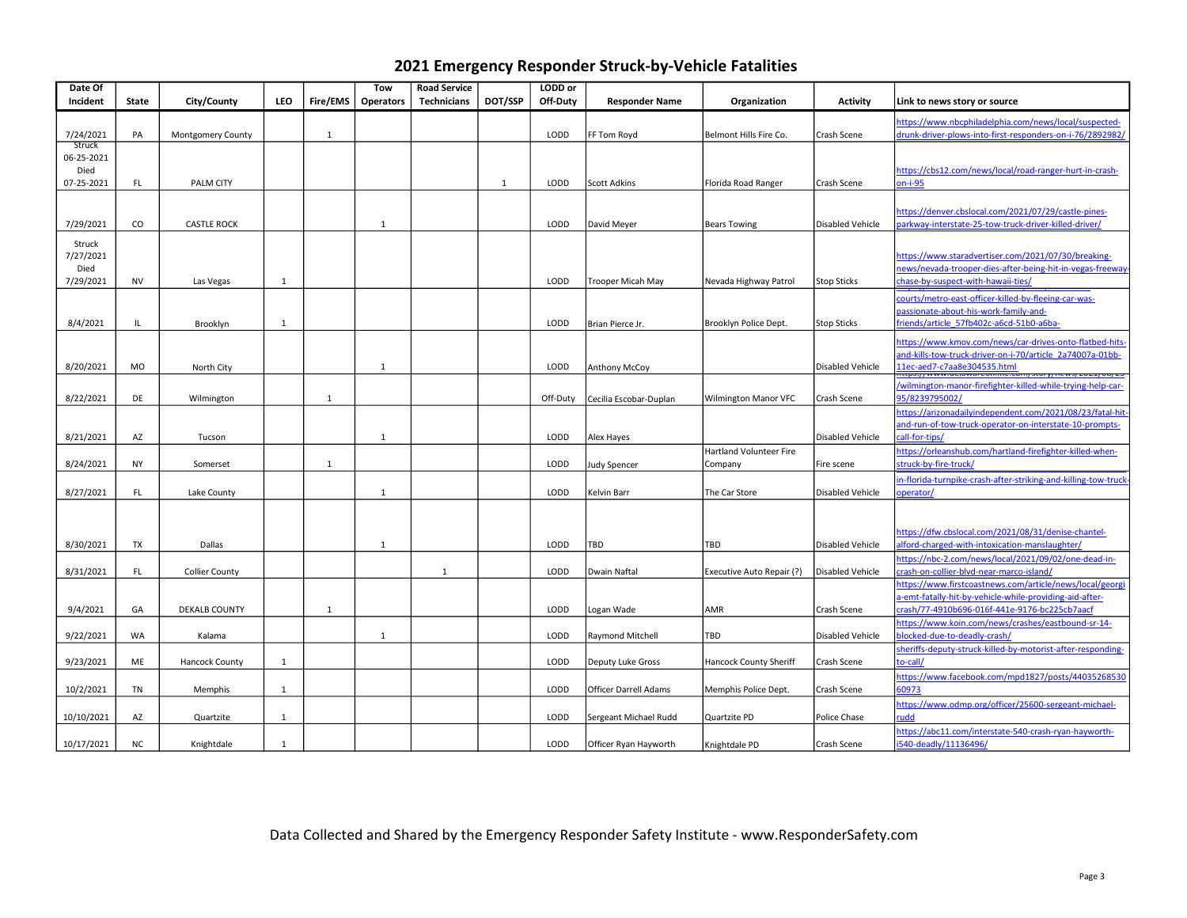| Date Of             |           |                       |              |              | <b>Tow</b>       | <b>Road Service</b> |         | LODD or  |                        |                             |                  |                                                                |
|---------------------|-----------|-----------------------|--------------|--------------|------------------|---------------------|---------|----------|------------------------|-----------------------------|------------------|----------------------------------------------------------------|
| Incident            | State     | City/County           | <b>LEO</b>   | Fire/EMS     | <b>Operators</b> | <b>Technicians</b>  | DOT/SSP | Off-Duty | <b>Responder Name</b>  | Organization                | <b>Activity</b>  | Link to news story or source                                   |
|                     |           |                       |              |              |                  |                     |         |          |                        |                             |                  |                                                                |
|                     |           |                       |              |              |                  |                     |         |          |                        |                             |                  | https://www.nbcphiladelphia.com/news/local/suspected-          |
| 7/24/2021<br>Struck | PA        | Montgomery County     |              | $\mathbf{1}$ |                  |                     |         | LODD     | FF Tom Royd            | Belmont Hills Fire Co.      | Crash Scene      | drunk-driver-plows-into-first-responders-on-i-76/2892982/      |
| 06-25-2021          |           |                       |              |              |                  |                     |         |          |                        |                             |                  |                                                                |
| Died                |           |                       |              |              |                  |                     |         |          |                        |                             |                  | https://cbs12.com/news/local/road-ranger-hurt-in-crash-        |
| 07-25-2021          | <b>FL</b> | <b>PALM CITY</b>      |              |              |                  |                     | 1       | LODD     | Scott Adkins           | Florida Road Ranger         | Crash Scene      | $on-i-95$                                                      |
|                     |           |                       |              |              |                  |                     |         |          |                        |                             |                  |                                                                |
|                     |           |                       |              |              |                  |                     |         |          |                        |                             |                  | https://denver.cbslocal.com/2021/07/29/castle-pines-           |
| 7/29/2021           | CO        | <b>CASTLE ROCK</b>    |              |              | 1                |                     |         | LODD     | David Meyer            | <b>Bears Towing</b>         | Disabled Vehicle | /arkway-interstate-25-tow-truck-driver-killed-driver           |
|                     |           |                       |              |              |                  |                     |         |          |                        |                             |                  |                                                                |
| Struck              |           |                       |              |              |                  |                     |         |          |                        |                             |                  |                                                                |
| 7/27/2021           |           |                       |              |              |                  |                     |         |          |                        |                             |                  | https://www.staradvertiser.com/2021/07/30/breaking-            |
| Died                |           |                       |              |              |                  |                     |         |          |                        |                             |                  | ews/nevada-trooper-dies-after-being-hit-in-vegas-freeway-      |
| 7/29/2021           | <b>NV</b> | Las Vegas             | 1            |              |                  |                     |         | LODD     | Trooper Micah May      | Nevada Highway Patrol       | Stop Sticks      | chase-by-suspect-with-hawaii-ties/                             |
|                     |           |                       |              |              |                  |                     |         |          |                        |                             |                  | courts/metro-east-officer-killed-by-fleeing-car-was-           |
|                     |           |                       |              |              |                  |                     |         |          |                        |                             |                  | passionate-about-his-work-family-and-                          |
| 8/4/2021            | IL        | Brooklyn              | $\mathbf{1}$ |              |                  |                     |         | LODD     | Brian Pierce Jr.       | Brooklyn Police Dept.       | Stop Sticks      | riends/article 57fb402c-a6cd-51b0-a6ba-                        |
|                     |           |                       |              |              |                  |                     |         |          |                        |                             |                  | https://www.kmov.com/news/car-drives-onto-flatbed-hits-        |
|                     |           |                       |              |              |                  |                     |         |          |                        |                             |                  | ind-kills-tow-truck-driver-on-i-70/article 2a74007a-01bb-      |
| 8/20/2021           | MO        | North City            |              |              | 1                |                     |         | LODD     | Anthony McCoy          |                             | Disabled Vehicle | 1ec-aed7-c7aa8e304535.html                                     |
|                     |           |                       |              |              |                  |                     |         |          |                        |                             |                  |                                                                |
|                     |           |                       |              |              |                  |                     |         |          |                        |                             |                  | wilmington-manor-firefighter-killed-while-trying-help-car-     |
| 8/22/2021           | DE        | Wilmington            |              | $\mathbf{1}$ |                  |                     |         | Off-Duty | Cecilia Escobar-Duplan | <b>Wilmington Manor VFC</b> | Crash Scene      | 95/8239795002/                                                 |
|                     |           |                       |              |              |                  |                     |         |          |                        |                             |                  | https://arizonadailyindependent.com/2021/08/23/fatal-hit-      |
|                     |           |                       |              |              |                  |                     |         |          |                        |                             |                  | ind-run-of-tow-truck-operator-on-interstate-10-prompts-        |
| 8/21/2021           | AZ        | Tucson                |              |              | $\mathbf{1}$     |                     |         | LODD     | Alex Hayes             |                             | Disabled Vehicle | all-for-tips/                                                  |
|                     |           |                       |              |              |                  |                     |         |          |                        | Hartland Volunteer Fire     |                  | https://orleanshub.com/hartland-firefighter-killed-when-       |
| 8/24/2021           | NY        | Somerset              |              | $\mathbf{1}$ |                  |                     |         | LODD     | <b>Judy Spencer</b>    | Company                     | Fire scene       | truck-by-fire-truck/                                           |
|                     |           |                       |              |              |                  |                     |         |          |                        |                             |                  | n-florida-turnpike-crash-after-striking-and-killing-tow-truck- |
| 8/27/2021           | FL.       | Lake County           |              |              | $\mathbf{1}$     |                     |         | LODD     | Kelvin Barr            | The Car Store               | Disabled Vehicle | perator/                                                       |
|                     |           |                       |              |              |                  |                     |         |          |                        |                             |                  |                                                                |
|                     |           |                       |              |              |                  |                     |         |          |                        |                             |                  |                                                                |
|                     |           |                       |              |              |                  |                     |         |          |                        |                             |                  | https://dfw.cbslocal.com/2021/08/31/denise-chantel-            |
| 8/30/2021           | TX        | Dallas                |              |              | $\mathbf{1}$     |                     |         | LODD     | TBD                    | <b>TBD</b>                  | Disabled Vehicle | alford-charged-with-intoxication-manslaughter/                 |
|                     |           |                       |              |              |                  |                     |         |          |                        |                             |                  | ttps://nbc-2.com/news/local/2021/09/02/one-dead-in-            |
| 8/31/2021           | FL.       | <b>Collier County</b> |              |              |                  | $\mathbf{1}$        |         | LODD     | Dwain Naftal           | Executive Auto Repair (?)   | Disabled Vehicle | crash-on-collier-blvd-near-marco-island/                       |
|                     |           |                       |              |              |                  |                     |         |          |                        |                             |                  | https://www.firstcoastnews.com/article/news/local/georgi       |
|                     |           |                       |              |              |                  |                     |         |          |                        |                             |                  | a-emt-fatally-hit-by-vehicle-while-providing-aid-after-        |
| 9/4/2021            | GA        | <b>DEKALB COUNTY</b>  |              | 1            |                  |                     |         | LODD     | Logan Wade             | AMR                         | Crash Scene      | rash/77-4910b696-016f-441e-9176-bc225cb7aacf                   |
|                     |           |                       |              |              |                  |                     |         |          |                        |                             |                  | https://www.koin.com/news/crashes/eastbound-sr-14-             |
| 9/22/2021           | WA        | Kalama                |              |              | $\mathbf{1}$     |                     |         | LODD     | Raymond Mitchell       | TBD                         | Disabled Vehicle | /locked-due-to-deadly-crash                                    |
|                     |           |                       |              |              |                  |                     |         |          |                        |                             |                  | heriffs-deputy-struck-killed-by-motorist-after-responding-     |
| 9/23/2021           | ME        | <b>Hancock County</b> | 1            |              |                  |                     |         | LODD     | Deputy Luke Gross      | Hancock County Sheriff      | Crash Scene      | o-call/                                                        |
|                     |           |                       |              |              |                  |                     |         |          |                        |                             |                  | https://www.facebook.com/mpd1827/posts/44035268530             |
| 10/2/2021           | TN        | Memphis               | 1            |              |                  |                     |         | LODD     | Officer Darrell Adams  | Memphis Police Dept.        | Crash Scene      | 60973                                                          |
|                     |           |                       |              |              |                  |                     |         |          |                        |                             |                  | https://www.odmp.org/officer/25600-sergeant-michael-           |
| 10/10/2021          | AZ        | Quartzite             | 1            |              |                  |                     |         | LODD     | Sergeant Michael Rudd  | Quartzite PD                | Police Chase     | udd                                                            |
|                     |           |                       |              |              |                  |                     |         |          |                        |                             |                  | https://abc11.com/interstate-540-crash-ryan-hayworth-          |
| 10/17/2021          | <b>NC</b> | Knightdale            | -1           |              |                  |                     |         | LODD     | Officer Ryan Hayworth  | Knightdale PD               | Crash Scene      | 540-deadly/11136496/                                           |

## 2021 Emergency Responder Struck-by-Vehicle Fatalities